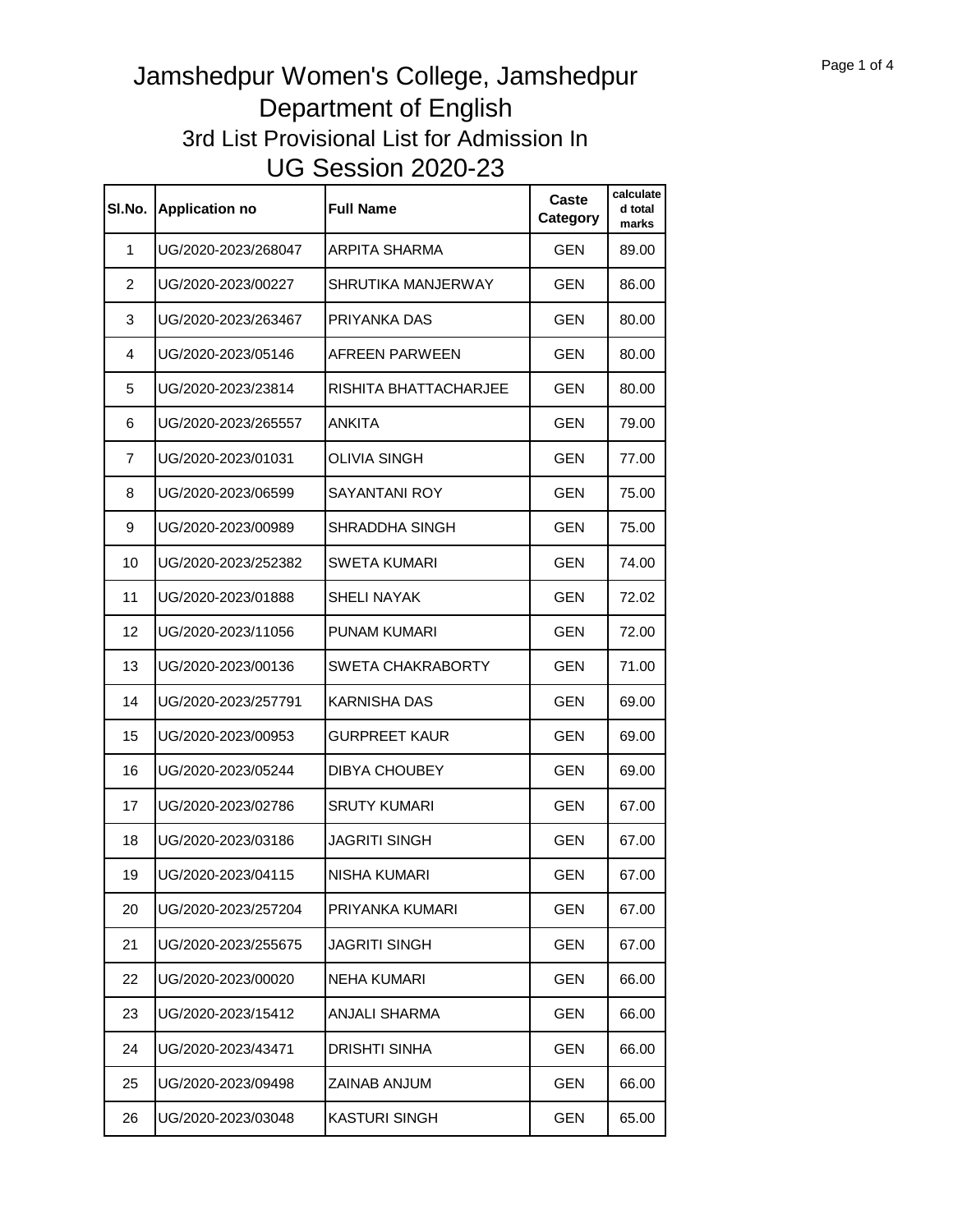| SI.No.         | <b>Application no</b> | <b>Full Name</b>      | Caste<br>Category | calculate<br>d total<br>marks |
|----------------|-----------------------|-----------------------|-------------------|-------------------------------|
| 1              | UG/2020-2023/268047   | <b>ARPITA SHARMA</b>  | <b>GEN</b>        | 89.00                         |
| $\overline{2}$ | UG/2020-2023/00227    | SHRUTIKA MANJERWAY    | <b>GEN</b>        | 86.00                         |
| 3              | UG/2020-2023/263467   | PRIYANKA DAS          | <b>GEN</b>        | 80.00                         |
| 4              | UG/2020-2023/05146    | AFREEN PARWEEN        | GEN               | 80.00                         |
| 5              | UG/2020-2023/23814    | RISHITA BHATTACHARJEE | <b>GEN</b>        | 80.00                         |
| 6              | UG/2020-2023/265557   | ANKITA                | GEN               | 79.00                         |
| 7              | UG/2020-2023/01031    | OLIVIA SINGH          | GEN               | 77.00                         |
| 8              | UG/2020-2023/06599    | SAYANTANI ROY         | GEN               | 75.00                         |
| 9              | UG/2020-2023/00989    | SHRADDHA SINGH        | <b>GEN</b>        | 75.00                         |
| 10             | UG/2020-2023/252382   | <b>SWETA KUMARI</b>   | <b>GEN</b>        | 74.00                         |
| 11             | UG/2020-2023/01888    | <b>SHELI NAYAK</b>    | GEN               | 72.02                         |
| 12             | UG/2020-2023/11056    | <b>PUNAM KUMARI</b>   | <b>GEN</b>        | 72.00                         |
| 13             | UG/2020-2023/00136    | SWETA CHAKRABORTY     | GEN               | 71.00                         |
| 14             | UG/2020-2023/257791   | KARNISHA DAS          | GEN               | 69.00                         |
| 15             | UG/2020-2023/00953    | GURPREET KAUR         | GEN               | 69.00                         |
| 16             | UG/2020-2023/05244    | <b>DIBYA CHOUBEY</b>  | <b>GEN</b>        | 69.00                         |
| 17             | UG/2020-2023/02786    | <b>SRUTY KUMARI</b>   | <b>GEN</b>        | 67.00                         |
| 18             | UG/2020-2023/03186    | JAGRITI SINGH         | <b>GEN</b>        | 67.00                         |
| 19             | UG/2020-2023/04115    | NISHA KUMARI          | <b>GEN</b>        | 67.00                         |
| 20             | UG/2020-2023/257204   | PRIYANKA KUMARI       | <b>GEN</b>        | 67.00                         |
| 21             | UG/2020-2023/255675   | JAGRITI SINGH         | <b>GEN</b>        | 67.00                         |
| 22             | UG/2020-2023/00020    | NEHA KUMARI           | GEN               | 66.00                         |
| 23             | UG/2020-2023/15412    | ANJALI SHARMA         | GEN               | 66.00                         |
| 24             | UG/2020-2023/43471    | DRISHTI SINHA         | GEN               | 66.00                         |
| 25             | UG/2020-2023/09498    | ZAINAB ANJUM          | GEN               | 66.00                         |
| 26             | UG/2020-2023/03048    | KASTURI SINGH         | <b>GEN</b>        | 65.00                         |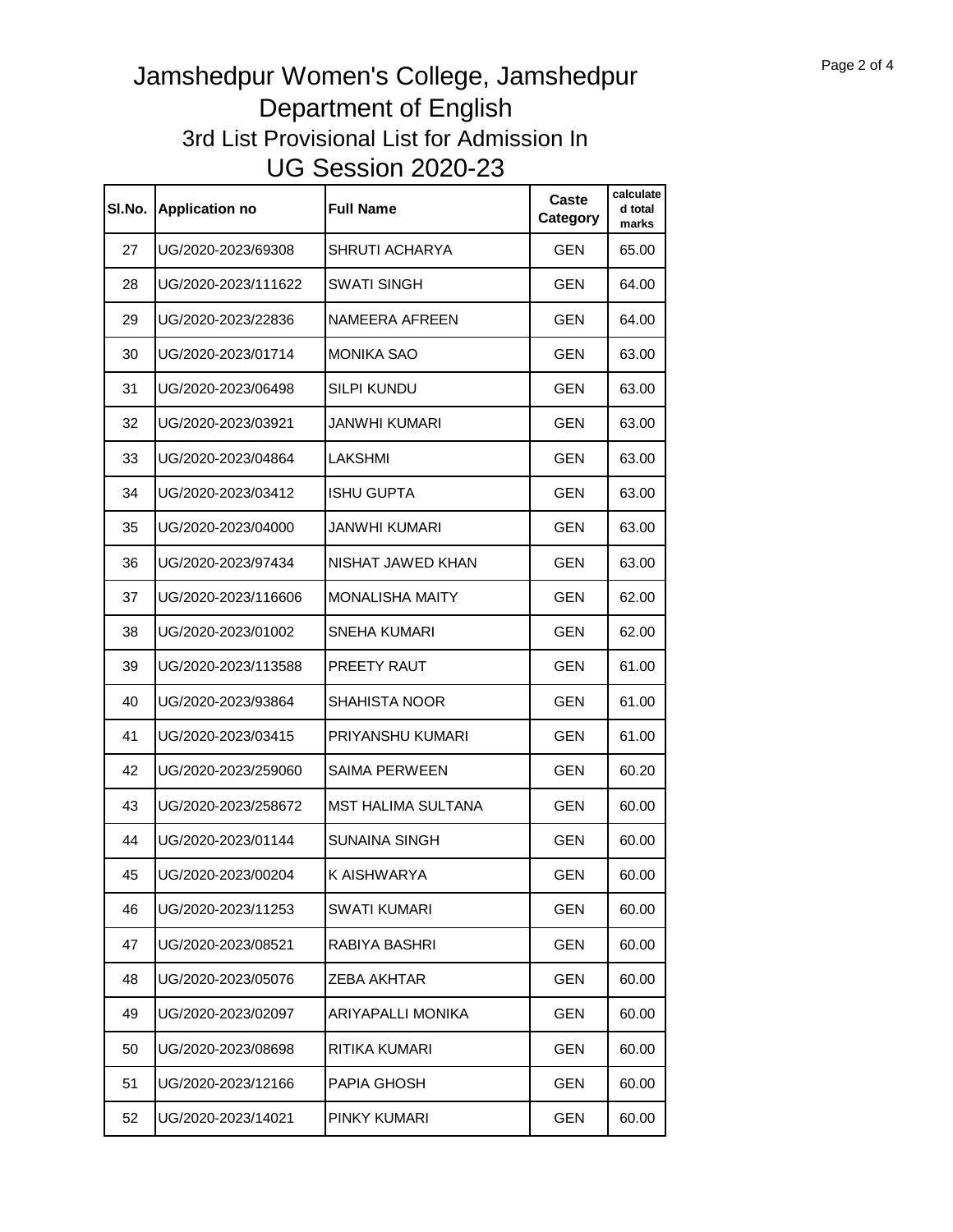| SI.No. | <b>Application no</b> | Full Name                 | Caste<br>Category | calculate<br>d total<br>marks |
|--------|-----------------------|---------------------------|-------------------|-------------------------------|
| 27     | UG/2020-2023/69308    | SHRUTI ACHARYA            | <b>GEN</b>        | 65.00                         |
| 28     | UG/2020-2023/111622   | SWATI SINGH               | <b>GEN</b>        | 64.00                         |
| 29     | UG/2020-2023/22836    | NAMEERA AFREEN            | <b>GEN</b>        | 64.00                         |
| 30     | UG/2020-2023/01714    | <b>MONIKA SAO</b>         | GEN               | 63.00                         |
| 31     | UG/2020-2023/06498    | SILPI KUNDU               | <b>GEN</b>        | 63.00                         |
| 32     | UG/2020-2023/03921    | JANWHI KUMARI             | GEN               | 63.00                         |
| 33     | UG/2020-2023/04864    | LAKSHMI                   | GEN               | 63.00                         |
| 34     | UG/2020-2023/03412    | ISHU GUPTA                | GEN               | 63.00                         |
| 35     | UG/2020-2023/04000    | JANWHI KUMARI             | GEN               | 63.00                         |
| 36     | UG/2020-2023/97434    | NISHAT JAWED KHAN         | <b>GEN</b>        | 63.00                         |
| 37     | UG/2020-2023/116606   | <b>MONALISHA MAITY</b>    | <b>GEN</b>        | 62.00                         |
| 38     | UG/2020-2023/01002    | SNEHA KUMARI              | <b>GEN</b>        | 62.00                         |
| 39     | UG/2020-2023/113588   | PREETY RAUT               | <b>GEN</b>        | 61.00                         |
| 40     | UG/2020-2023/93864    | SHAHISTA NOOR             | GEN               | 61.00                         |
| 41     | UG/2020-2023/03415    | PRIYANSHU KUMARI          | GEN               | 61.00                         |
| 42     | UG/2020-2023/259060   | <b>SAIMA PERWEEN</b>      | GEN               | 60.20                         |
| 43     | UG/2020-2023/258672   | <b>MST HALIMA SULTANA</b> | GEN               | 60.00                         |
| 44     | UG/2020-2023/01144    | SUNAINA SINGH             | <b>GEN</b>        | 60.00                         |
| 45     | UG/2020-2023/00204    | K AISHWARYA               | <b>GEN</b>        | 60.00                         |
| 46     | UG/2020-2023/11253    | SWATI KUMARI              | <b>GEN</b>        | 60.00                         |
| 47     | UG/2020-2023/08521    | RABIYA BASHRI             | <b>GEN</b>        | 60.00                         |
| 48     | UG/2020-2023/05076    | ZEBA AKHTAR               | <b>GEN</b>        | 60.00                         |
| 49     | UG/2020-2023/02097    | ARIYAPALLI MONIKA         | GEN               | 60.00                         |
| 50     | UG/2020-2023/08698    | RITIKA KUMARI             | GEN               | 60.00                         |
| 51     | UG/2020-2023/12166    | PAPIA GHOSH               | <b>GEN</b>        | 60.00                         |
| 52     | UG/2020-2023/14021    | PINKY KUMARI              | GEN               | 60.00                         |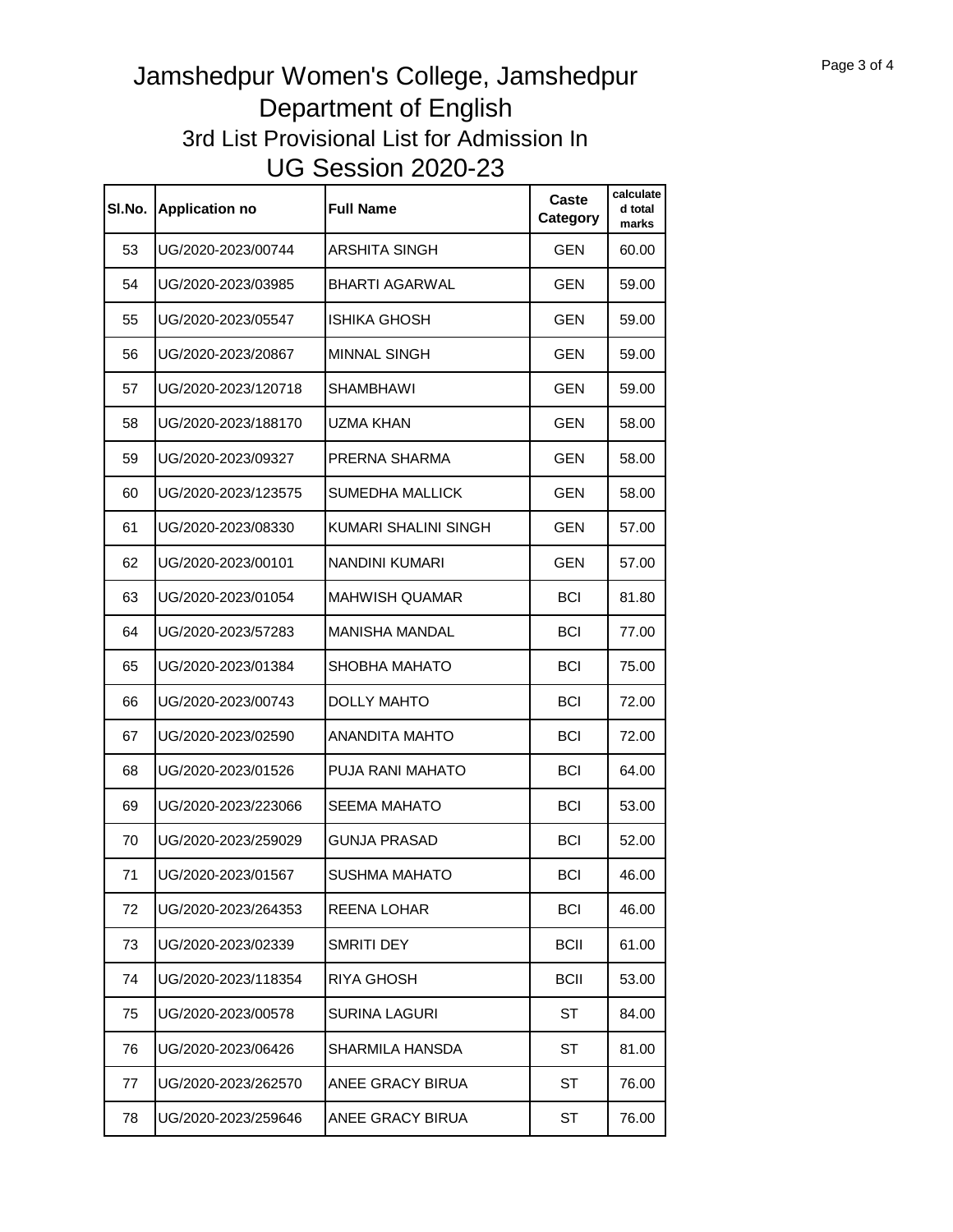| SI.No. | <b>Application no</b> | <b>Full Name</b>      | Caste<br>Category | calculate<br>d total<br>marks |
|--------|-----------------------|-----------------------|-------------------|-------------------------------|
| 53     | UG/2020-2023/00744    | ARSHITA SINGH         | <b>GEN</b>        | 60.00                         |
| 54     | UG/2020-2023/03985    | BHARTI AGARWAL        | <b>GEN</b>        | 59.00                         |
| 55     | UG/2020-2023/05547    | ISHIKA GHOSH          | <b>GEN</b>        | 59.00                         |
| 56     | UG/2020-2023/20867    | <b>MINNAL SINGH</b>   | GEN               | 59.00                         |
| 57     | UG/2020-2023/120718   | <b>SHAMBHAWI</b>      | <b>GEN</b>        | 59.00                         |
| 58     | UG/2020-2023/188170   | UZMA KHAN             | GEN               | 58.00                         |
| 59     | UG/2020-2023/09327    | PRERNA SHARMA         | GEN               | 58.00                         |
| 60     | UG/2020-2023/123575   | SUMEDHA MALLICK       | GEN               | 58.00                         |
| 61     | UG/2020-2023/08330    | KUMARI SHALINI SINGH  | <b>GEN</b>        | 57.00                         |
| 62     | UG/2020-2023/00101    | NANDINI KUMARI        | <b>GEN</b>        | 57.00                         |
| 63     | UG/2020-2023/01054    | <b>MAHWISH QUAMAR</b> | <b>BCI</b>        | 81.80                         |
| 64     | UG/2020-2023/57283    | <b>MANISHA MANDAL</b> | <b>BCI</b>        | 77.00                         |
| 65     | UG/2020-2023/01384    | SHOBHA MAHATO         | <b>BCI</b>        | 75.00                         |
| 66     | UG/2020-2023/00743    | <b>DOLLY MAHTO</b>    | <b>BCI</b>        | 72.00                         |
| 67     | UG/2020-2023/02590    | ANANDITA MAHTO        | <b>BCI</b>        | 72.00                         |
| 68     | UG/2020-2023/01526    | PUJA RANI MAHATO      | BCI               | 64.00                         |
| 69     | UG/2020-2023/223066   | SEEMA MAHATO          | <b>BCI</b>        | 53.00                         |
| 70     | UG/2020-2023/259029   | GUNJA PRASAD          | <b>BCI</b>        | 52.00                         |
| 71     | UG/2020-2023/01567    | SUSHMA MAHATO         | <b>BCI</b>        | 46.00                         |
| 72     | UG/2020-2023/264353   | <b>REENA LOHAR</b>    | <b>BCI</b>        | 46.00                         |
| 73     | UG/2020-2023/02339    | SMRITI DEY            | <b>BCII</b>       | 61.00                         |
| 74     | UG/2020-2023/118354   | <b>RIYA GHOSH</b>     | <b>BCII</b>       | 53.00                         |
| 75     | UG/2020-2023/00578    | SURINA LAGURI         | ST                | 84.00                         |
| 76     | UG/2020-2023/06426    | SHARMILA HANSDA       | ST                | 81.00                         |
| 77     | UG/2020-2023/262570   | ANEE GRACY BIRUA      | ST                | 76.00                         |
| 78     | UG/2020-2023/259646   | ANEE GRACY BIRUA      | ST                | 76.00                         |